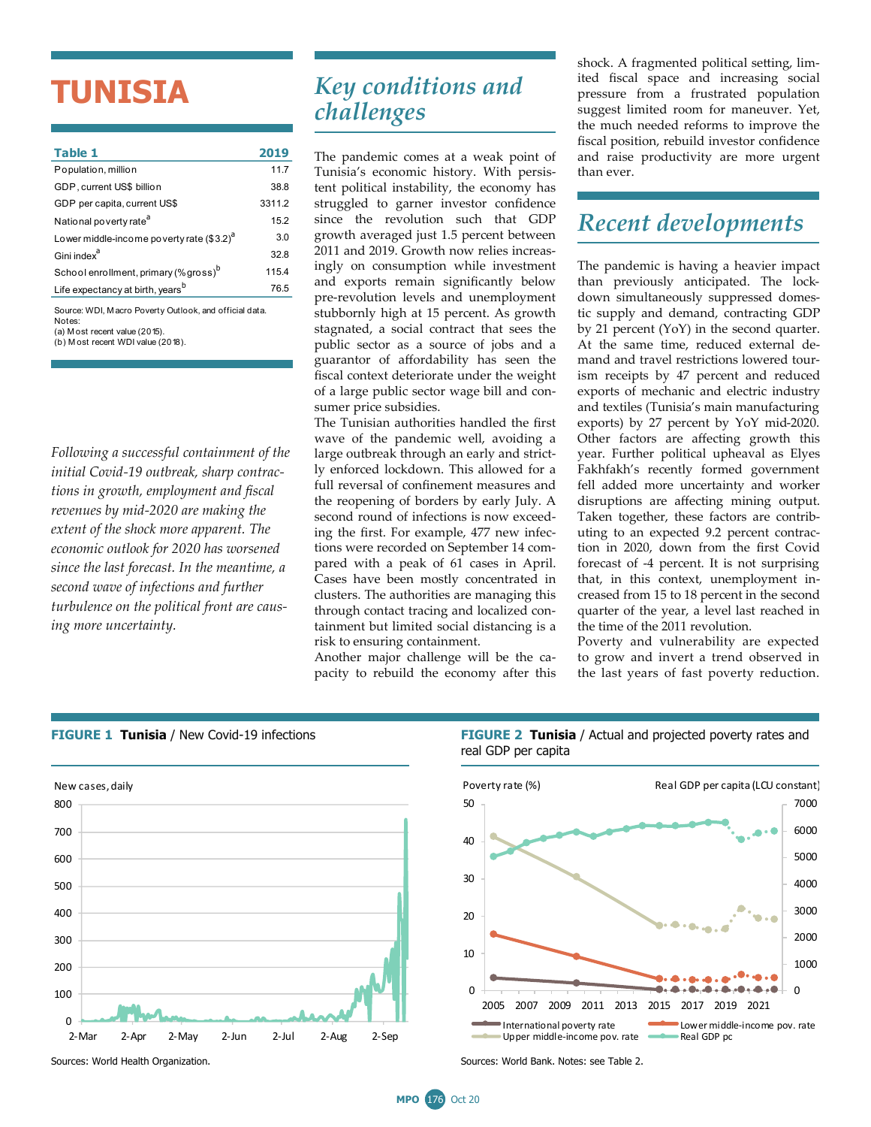# **TUNISIA**

| Table 1                                                | 2019   |  |  |  |
|--------------------------------------------------------|--------|--|--|--|
| Population, million                                    | 11.7   |  |  |  |
| GDP, current US\$ billion                              | 38.8   |  |  |  |
| GDP per capita, current US\$                           | 3311.2 |  |  |  |
| National poverty rate <sup>a</sup>                     | 15.2   |  |  |  |
| Lower middle-income poverty rate (\$3.2) <sup>a</sup>  | 3.0    |  |  |  |
| Gini index <sup>a</sup>                                | 32.8   |  |  |  |
| School enrollment, primary (% gross) <sup>b</sup>      | 115.4  |  |  |  |
| Life expectancy at birth, years <sup>b</sup>           | 76.5   |  |  |  |
| Source: WDI, Macro Poverty Outlook, and official data. |        |  |  |  |

(a) M ost recent value (2015). Notes:

(b) M ost recent WDI value (2018).

*Following a successful containment of the initial Covid-19 outbreak, sharp contractions in growth, employment and fiscal revenues by mid-2020 are making the extent of the shock more apparent. The economic outlook for 2020 has worsened since the last forecast. In the meantime, a second wave of infections and further turbulence on the political front are causing more uncertainty.* 

## *Key conditions and challenges*

The pandemic comes at a weak point of Tunisia's economic history. With persistent political instability, the economy has struggled to garner investor confidence since the revolution such that GDP growth averaged just 1.5 percent between 2011 and 2019. Growth now relies increasingly on consumption while investment and exports remain significantly below pre-revolution levels and unemployment stubbornly high at 15 percent. As growth stagnated, a social contract that sees the public sector as a source of jobs and a guarantor of affordability has seen the fiscal context deteriorate under the weight of a large public sector wage bill and consumer price subsidies.

The Tunisian authorities handled the first wave of the pandemic well, avoiding a large outbreak through an early and strictly enforced lockdown. This allowed for a full reversal of confinement measures and the reopening of borders by early July. A second round of infections is now exceeding the first. For example, 477 new infections were recorded on September 14 compared with a peak of 61 cases in April. Cases have been mostly concentrated in clusters. The authorities are managing this through contact tracing and localized containment but limited social distancing is a risk to ensuring containment.

Another major challenge will be the capacity to rebuild the economy after this shock. A fragmented political setting, limited fiscal space and increasing social pressure from a frustrated population suggest limited room for maneuver. Yet, the much needed reforms to improve the fiscal position, rebuild investor confidence and raise productivity are more urgent than ever.

### *Recent developments*

The pandemic is having a heavier impact than previously anticipated. The lockdown simultaneously suppressed domestic supply and demand, contracting GDP by 21 percent (YoY) in the second quarter. At the same time, reduced external demand and travel restrictions lowered tourism receipts by 47 percent and reduced exports of mechanic and electric industry and textiles (Tunisia's main manufacturing exports) by 27 percent by YoY mid-2020. Other factors are affecting growth this year. Further political upheaval as Elyes Fakhfakh's recently formed government fell added more uncertainty and worker disruptions are affecting mining output. Taken together, these factors are contributing to an expected 9.2 percent contraction in 2020, down from the first Covid forecast of -4 percent. It is not surprising that, in this context, unemployment increased from 15 to 18 percent in the second quarter of the year, a level last reached in the time of the 2011 revolution.

Poverty and vulnerability are expected to grow and invert a trend observed in the last years of fast poverty reduction.



**FIGURE 1 Tunisia** / New Covid-19 infections **FIGURE 2 Tunisia** / Actual and projected poverty rates and real GDP per capita